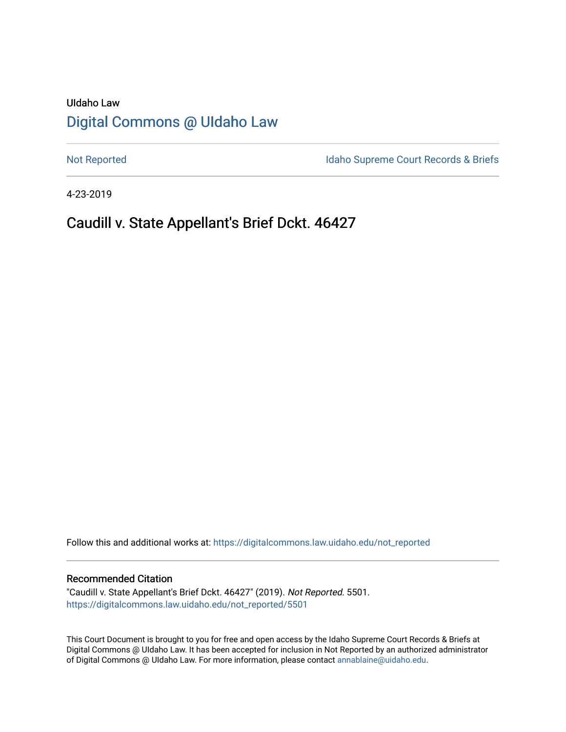# UIdaho Law [Digital Commons @ UIdaho Law](https://digitalcommons.law.uidaho.edu/)

[Not Reported](https://digitalcommons.law.uidaho.edu/not_reported) **Idaho Supreme Court Records & Briefs** 

4-23-2019

# Caudill v. State Appellant's Brief Dckt. 46427

Follow this and additional works at: [https://digitalcommons.law.uidaho.edu/not\\_reported](https://digitalcommons.law.uidaho.edu/not_reported?utm_source=digitalcommons.law.uidaho.edu%2Fnot_reported%2F5501&utm_medium=PDF&utm_campaign=PDFCoverPages) 

#### Recommended Citation

"Caudill v. State Appellant's Brief Dckt. 46427" (2019). Not Reported. 5501. [https://digitalcommons.law.uidaho.edu/not\\_reported/5501](https://digitalcommons.law.uidaho.edu/not_reported/5501?utm_source=digitalcommons.law.uidaho.edu%2Fnot_reported%2F5501&utm_medium=PDF&utm_campaign=PDFCoverPages)

This Court Document is brought to you for free and open access by the Idaho Supreme Court Records & Briefs at Digital Commons @ UIdaho Law. It has been accepted for inclusion in Not Reported by an authorized administrator of Digital Commons @ UIdaho Law. For more information, please contact [annablaine@uidaho.edu](mailto:annablaine@uidaho.edu).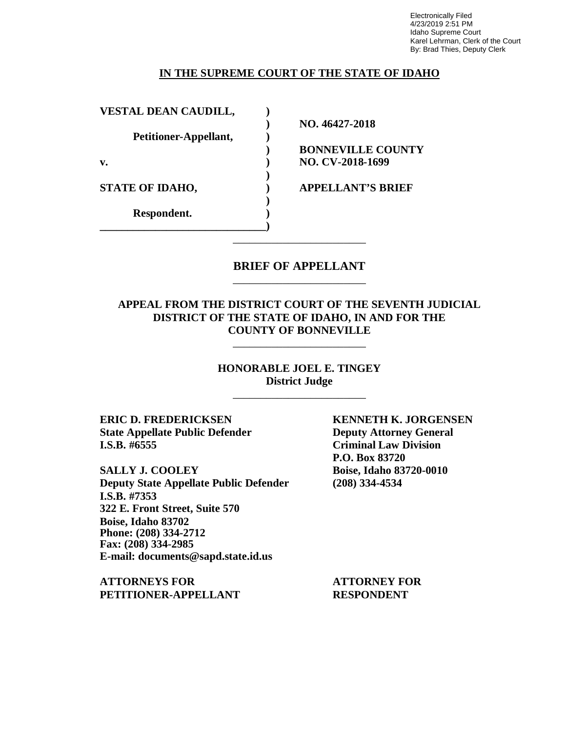Electronically Filed 4/23/2019 2:51 PM Idaho Supreme Court Karel Lehrman, Clerk of the Court By: Brad Thies, Deputy Clerk

### **IN THE SUPREME COURT OF THE STATE OF IDAHO**

**VESTAL DEAN CAUDILL,**  $\qquad$  **)** 

**Petitioner-Appellant, )**

**\_\_\_\_\_\_\_\_\_\_\_\_\_\_\_\_\_\_\_\_\_\_\_\_\_\_\_\_\_\_)**

**Respondent. )**

**) NO. 46427-2018**

**) BONNEVILLE COUNTY v. ) NO. CV-2018-1699**

**STATE OF IDAHO, ) APPELLANT'S BRIEF**

## **BRIEF OF APPELLANT** \_\_\_\_\_\_\_\_\_\_\_\_\_\_\_\_\_\_\_\_\_\_\_\_

\_\_\_\_\_\_\_\_\_\_\_\_\_\_\_\_\_\_\_\_\_\_\_\_

**)**

**)**

### **APPEAL FROM THE DISTRICT COURT OF THE SEVENTH JUDICIAL DISTRICT OF THE STATE OF IDAHO, IN AND FOR THE COUNTY OF BONNEVILLE**

\_\_\_\_\_\_\_\_\_\_\_\_\_\_\_\_\_\_\_\_\_\_\_\_

**HONORABLE JOEL E. TINGEY District Judge**

\_\_\_\_\_\_\_\_\_\_\_\_\_\_\_\_\_\_\_\_\_\_\_\_

**ERIC D. FREDERICKSEN KENNETH K. JORGENSEN State Appellate Public Defender Deputy Attorney General I.S.B. #6555 Criminal Law Division**

**SALLY J. COOLEY Boise, Idaho 83720-0010 Deputy State Appellate Public Defender (208) 334-4534 I.S.B. #7353 322 E. Front Street, Suite 570 Boise, Idaho 83702 Phone: (208) 334-2712 Fax: (208) 334-2985 E-mail: documents@sapd.state.id.us**

**ATTORNEYS FOR ATTORNEY FOR PETITIONER-APPELLANT RESPONDENT**

**P.O. Box 83720**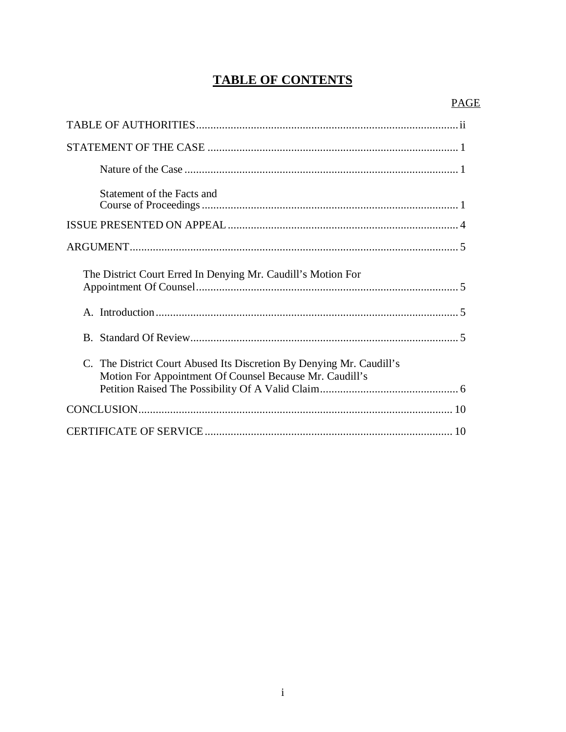# **TABLE OF CONTENTS**

| Statement of the Facts and                                                                                                      |
|---------------------------------------------------------------------------------------------------------------------------------|
|                                                                                                                                 |
|                                                                                                                                 |
| The District Court Erred In Denying Mr. Caudill's Motion For                                                                    |
|                                                                                                                                 |
|                                                                                                                                 |
| C. The District Court Abused Its Discretion By Denying Mr. Caudill's<br>Motion For Appointment Of Counsel Because Mr. Caudill's |
|                                                                                                                                 |
|                                                                                                                                 |
|                                                                                                                                 |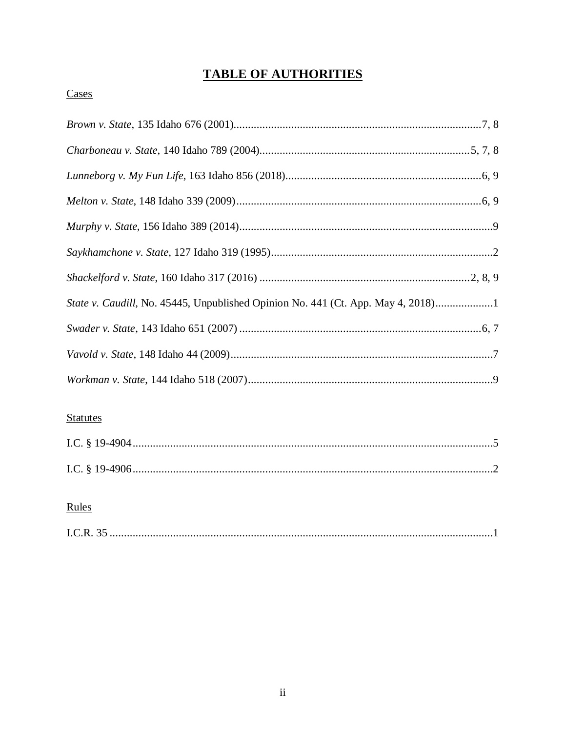# **TABLE OF AUTHORITIES**

## Cases

| State v. Caudill, No. 45445, Unpublished Opinion No. 441 (Ct. App. May 4, 2018)1 |  |
|----------------------------------------------------------------------------------|--|
|                                                                                  |  |
|                                                                                  |  |
|                                                                                  |  |

## **Statutes**

## Rules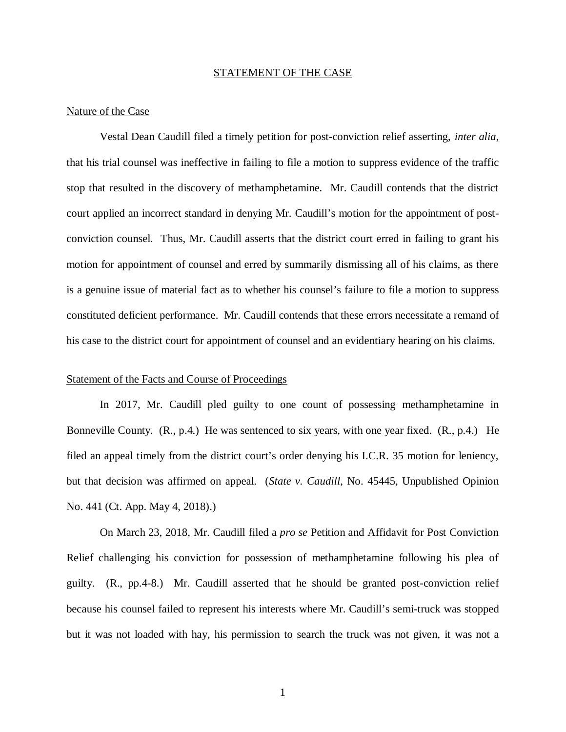#### STATEMENT OF THE CASE

#### Nature of the Case

Vestal Dean Caudill filed a timely petition for post-conviction relief asserting, *inter alia*, that his trial counsel was ineffective in failing to file a motion to suppress evidence of the traffic stop that resulted in the discovery of methamphetamine. Mr. Caudill contends that the district court applied an incorrect standard in denying Mr. Caudill's motion for the appointment of postconviction counsel. Thus, Mr. Caudill asserts that the district court erred in failing to grant his motion for appointment of counsel and erred by summarily dismissing all of his claims, as there is a genuine issue of material fact as to whether his counsel's failure to file a motion to suppress constituted deficient performance. Mr. Caudill contends that these errors necessitate a remand of his case to the district court for appointment of counsel and an evidentiary hearing on his claims.

#### Statement of the Facts and Course of Proceedings

In 2017, Mr. Caudill pled guilty to one count of possessing methamphetamine in Bonneville County. (R., p.4.) He was sentenced to six years, with one year fixed. (R., p.4.) He filed an appeal timely from the district court's order denying his I.C.R. 35 motion for leniency, but that decision was affirmed on appeal. (*State v. Caudill*, No. 45445, Unpublished Opinion No. 441 (Ct. App. May 4, 2018).)

On March 23, 2018, Mr. Caudill filed a *pro se* Petition and Affidavit for Post Conviction Relief challenging his conviction for possession of methamphetamine following his plea of guilty. (R., pp.4-8.) Mr. Caudill asserted that he should be granted post-conviction relief because his counsel failed to represent his interests where Mr. Caudill's semi-truck was stopped but it was not loaded with hay, his permission to search the truck was not given, it was not a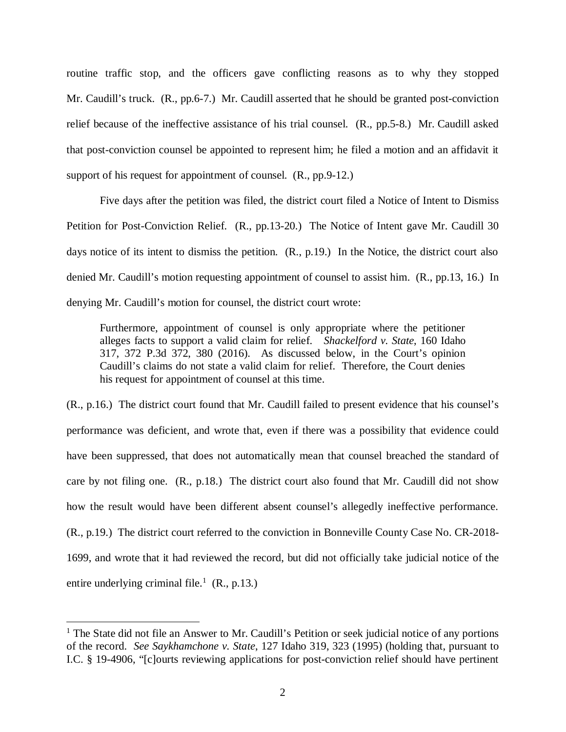routine traffic stop, and the officers gave conflicting reasons as to why they stopped Mr. Caudill's truck. (R., pp.6-7.) Mr. Caudill asserted that he should be granted post-conviction relief because of the ineffective assistance of his trial counsel. (R., pp.5-8.) Mr. Caudill asked that post-conviction counsel be appointed to represent him; he filed a motion and an affidavit it support of his request for appointment of counsel. (R., pp.9-12.)

Five days after the petition was filed, the district court filed a Notice of Intent to Dismiss Petition for Post-Conviction Relief. (R., pp.13-20.) The Notice of Intent gave Mr. Caudill 30 days notice of its intent to dismiss the petition. (R., p.19.) In the Notice, the district court also denied Mr. Caudill's motion requesting appointment of counsel to assist him. (R., pp.13, 16.) In denying Mr. Caudill's motion for counsel, the district court wrote:

Furthermore, appointment of counsel is only appropriate where the petitioner alleges facts to support a valid claim for relief. *Shackelford v. State*, 160 Idaho 317, 372 P.3d 372, 380 (2016). As discussed below, in the Court's opinion Caudill's claims do not state a valid claim for relief. Therefore, the Court denies his request for appointment of counsel at this time.

(R., p.16.) The district court found that Mr. Caudill failed to present evidence that his counsel's performance was deficient, and wrote that, even if there was a possibility that evidence could have been suppressed, that does not automatically mean that counsel breached the standard of care by not filing one. (R., p.18.) The district court also found that Mr. Caudill did not show how the result would have been different absent counsel's allegedly ineffective performance. (R., p.19.) The district court referred to the conviction in Bonneville County Case No. CR-2018- 1699, and wrote that it had reviewed the record, but did not officially take judicial notice of the entire underlying criminal file.<sup>[1](#page-5-0)</sup> (R., p.13.)

<span id="page-5-0"></span><sup>&</sup>lt;sup>1</sup> The State did not file an Answer to Mr. Caudill's Petition or seek judicial notice of any portions of the record. *See Saykhamchone v. State*, 127 Idaho 319, 323 (1995) (holding that, pursuant to I.C. § 19-4906, "[c]ourts reviewing applications for post-conviction relief should have pertinent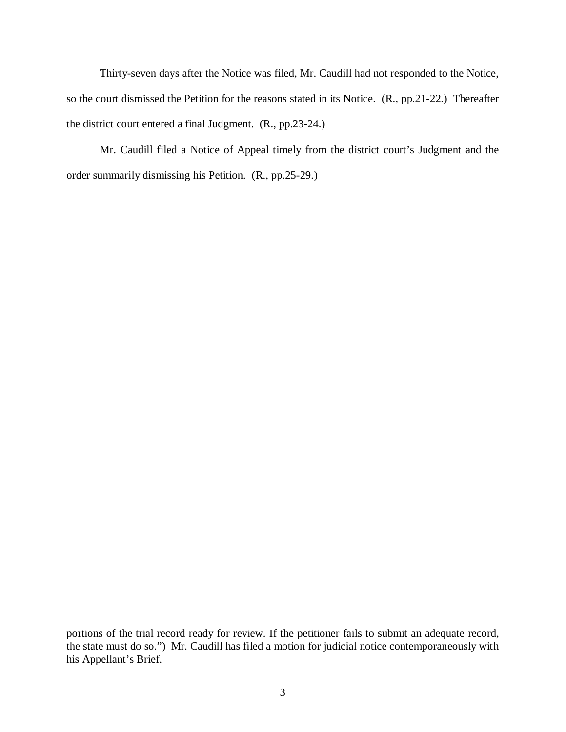Thirty-seven days after the Notice was filed, Mr. Caudill had not responded to the Notice, so the court dismissed the Petition for the reasons stated in its Notice. (R., pp.21-22.) Thereafter the district court entered a final Judgment. (R., pp.23-24.)

Mr. Caudill filed a Notice of Appeal timely from the district court's Judgment and the order summarily dismissing his Petition. (R., pp.25-29.)

portions of the trial record ready for review. If the petitioner fails to submit an adequate record, the state must do so.") Mr. Caudill has filed a motion for judicial notice contemporaneously with his Appellant's Brief.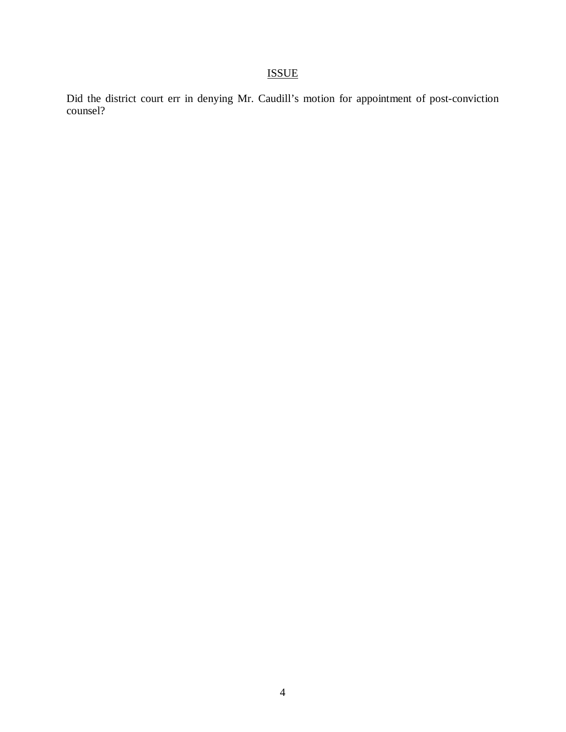# ISSUE

Did the district court err in denying Mr. Caudill's motion for appointment of post-conviction counsel?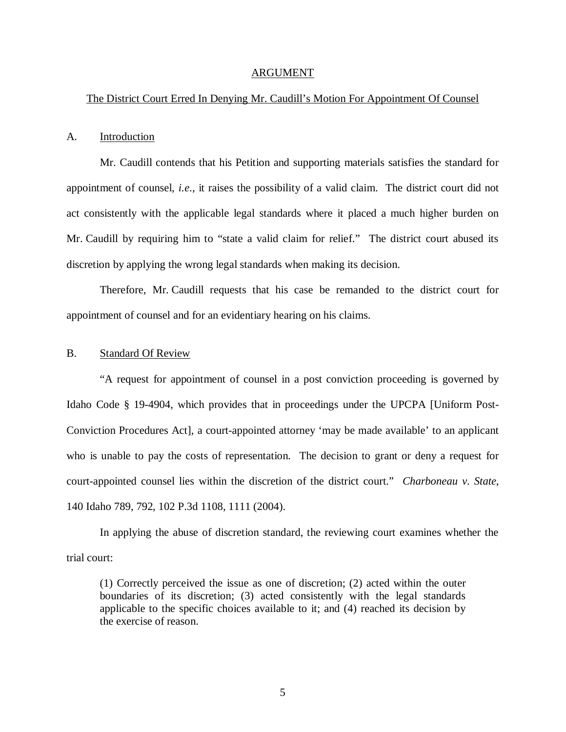#### ARGUMENT

#### The District Court Erred In Denying Mr. Caudill's Motion For Appointment Of Counsel

#### A. Introduction

Mr. Caudill contends that his Petition and supporting materials satisfies the standard for appointment of counsel, *i.e*., it raises the possibility of a valid claim. The district court did not act consistently with the applicable legal standards where it placed a much higher burden on Mr. Caudill by requiring him to "state a valid claim for relief." The district court abused its discretion by applying the wrong legal standards when making its decision.

Therefore, Mr. Caudill requests that his case be remanded to the district court for appointment of counsel and for an evidentiary hearing on his claims.

#### B. Standard Of Review

"A request for appointment of counsel in a post conviction proceeding is governed by Idaho Code § 19-4904, which provides that in proceedings under the UPCPA [Uniform Post-Conviction Procedures Act], a court-appointed attorney 'may be made available' to an applicant who is unable to pay the costs of representation. The decision to grant or deny a request for court-appointed counsel lies within the discretion of the district court." *Charboneau v. State*, 140 Idaho 789, 792, 102 P.3d 1108, 1111 (2004).

In applying the abuse of discretion standard, the reviewing court examines whether the trial court:

(1) Correctly perceived the issue as one of discretion; (2) acted within the outer boundaries of its discretion; (3) acted consistently with the legal standards applicable to the specific choices available to it; and (4) reached its decision by the exercise of reason.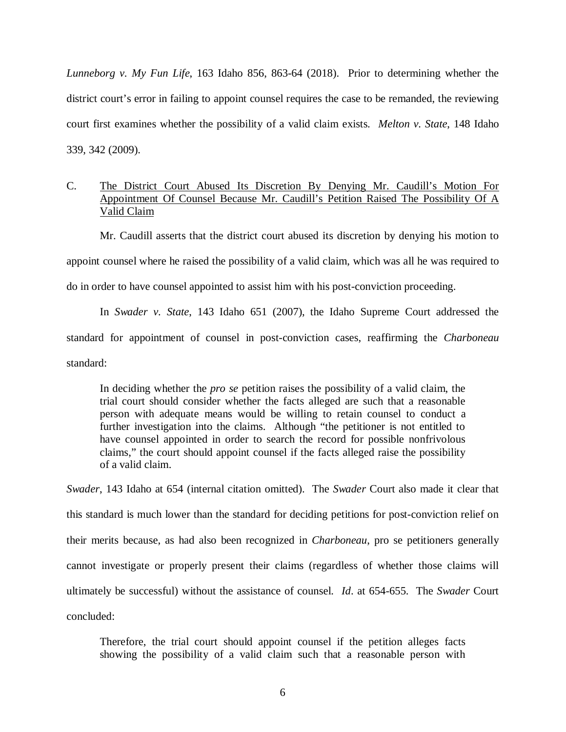*Lunneborg v. My Fun Life*, 163 Idaho 856, 863-64 (2018). Prior to determining whether the district court's error in failing to appoint counsel requires the case to be remanded, the reviewing court first examines whether the possibility of a valid claim exists. *Melton v. State*, 148 Idaho 339, 342 (2009).

### C. The District Court Abused Its Discretion By Denying Mr. Caudill's Motion For Appointment Of Counsel Because Mr. Caudill's Petition Raised The Possibility Of A Valid Claim

Mr. Caudill asserts that the district court abused its discretion by denying his motion to appoint counsel where he raised the possibility of a valid claim, which was all he was required to do in order to have counsel appointed to assist him with his post-conviction proceeding.

In *Swader v. State*, 143 Idaho 651 (2007), the Idaho Supreme Court addressed the standard for appointment of counsel in post-conviction cases, reaffirming the *Charboneau* standard:

In deciding whether the *pro se* petition raises the possibility of a valid claim, the trial court should consider whether the facts alleged are such that a reasonable person with adequate means would be willing to retain counsel to conduct a further investigation into the claims. Although "the petitioner is not entitled to have counsel appointed in order to search the record for possible nonfrivolous claims," the court should appoint counsel if the facts alleged raise the possibility of a valid claim.

*Swader*, 143 Idaho at 654 (internal citation omitted). The *Swader* Court also made it clear that this standard is much lower than the standard for deciding petitions for post-conviction relief on their merits because, as had also been recognized in *Charboneau*, pro se petitioners generally cannot investigate or properly present their claims (regardless of whether those claims will ultimately be successful) without the assistance of counsel. *Id*. at 654-655. The *Swader* Court concluded:

Therefore, the trial court should appoint counsel if the petition alleges facts showing the possibility of a valid claim such that a reasonable person with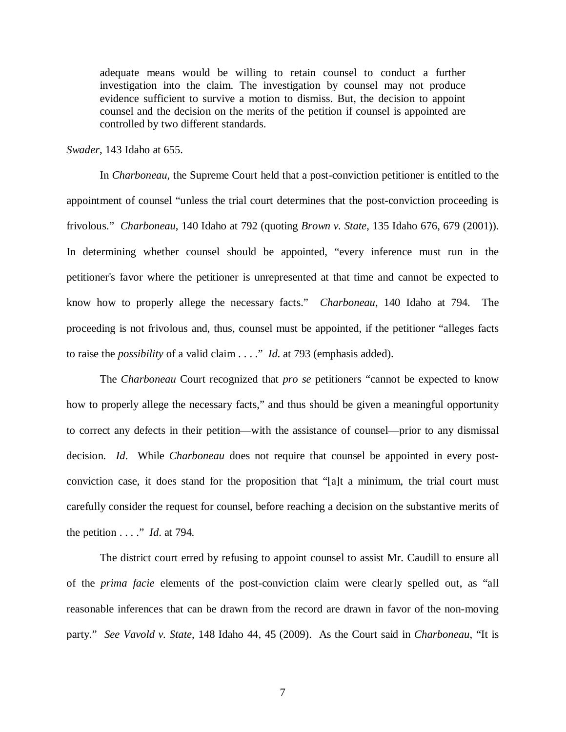adequate means would be willing to retain counsel to conduct a further investigation into the claim. The investigation by counsel may not produce evidence sufficient to survive a motion to dismiss. But, the decision to appoint counsel and the decision on the merits of the petition if counsel is appointed are controlled by two different standards.

*Swader*, 143 Idaho at 655.

In *Charboneau*, the Supreme Court held that a post-conviction petitioner is entitled to the appointment of counsel "unless the trial court determines that the post-conviction proceeding is frivolous." *Charboneau*, 140 Idaho at 792 (quoting *Brown v. State*, 135 Idaho 676, 679 (2001)). In determining whether counsel should be appointed, "every inference must run in the petitioner's favor where the petitioner is unrepresented at that time and cannot be expected to know how to properly allege the necessary facts." *Charboneau*, 140 Idaho at 794. The proceeding is not frivolous and, thus, counsel must be appointed, if the petitioner "alleges facts to raise the *possibility* of a valid claim . . . ." *Id*. at 793 (emphasis added).

The *Charboneau* Court recognized that *pro se* petitioners "cannot be expected to know how to properly allege the necessary facts," and thus should be given a meaningful opportunity to correct any defects in their petition—with the assistance of counsel—prior to any dismissal decision. *Id*. While *Charboneau* does not require that counsel be appointed in every postconviction case, it does stand for the proposition that "[a]t a minimum, the trial court must carefully consider the request for counsel, before reaching a decision on the substantive merits of the petition . . . ." *Id*. at 794.

The district court erred by refusing to appoint counsel to assist Mr. Caudill to ensure all of the *prima facie* elements of the post-conviction claim were clearly spelled out, as "all reasonable inferences that can be drawn from the record are drawn in favor of the non-moving party." *See Vavold v. State*, 148 Idaho 44, 45 (2009). As the Court said in *Charboneau*, "It is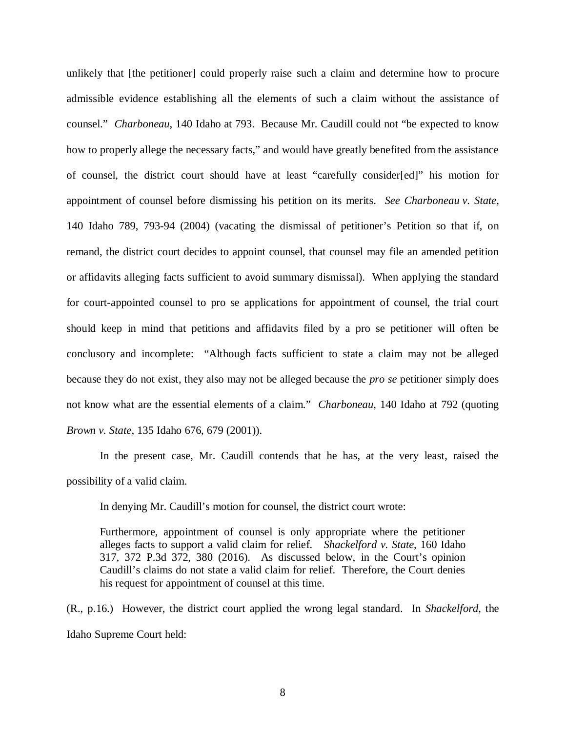unlikely that [the petitioner] could properly raise such a claim and determine how to procure admissible evidence establishing all the elements of such a claim without the assistance of counsel." *Charboneau*, 140 Idaho at 793. Because Mr. Caudill could not "be expected to know how to properly allege the necessary facts," and would have greatly benefited from the assistance of counsel, the district court should have at least "carefully consider[ed]" his motion for appointment of counsel before dismissing his petition on its merits. *See Charboneau v. State*, 140 Idaho 789, 793-94 (2004) (vacating the dismissal of petitioner's Petition so that if, on remand, the district court decides to appoint counsel, that counsel may file an amended petition or affidavits alleging facts sufficient to avoid summary dismissal). When applying the standard for court-appointed counsel to pro se applications for appointment of counsel, the trial court should keep in mind that petitions and affidavits filed by a pro se petitioner will often be conclusory and incomplete: "Although facts sufficient to state a claim may not be alleged because they do not exist, they also may not be alleged because the *pro se* petitioner simply does not know what are the essential elements of a claim." *Charboneau*, 140 Idaho at 792 (quoting *Brown v. State*, 135 Idaho 676, 679 (2001)).

In the present case, Mr. Caudill contends that he has, at the very least, raised the possibility of a valid claim.

In denying Mr. Caudill's motion for counsel, the district court wrote:

Furthermore, appointment of counsel is only appropriate where the petitioner alleges facts to support a valid claim for relief. *Shackelford v. State*, 160 Idaho 317, 372 P.3d 372, 380 (2016). As discussed below, in the Court's opinion Caudill's claims do not state a valid claim for relief. Therefore, the Court denies his request for appointment of counsel at this time.

(R., p.16.) However, the district court applied the wrong legal standard. In *Shackelford*, the Idaho Supreme Court held: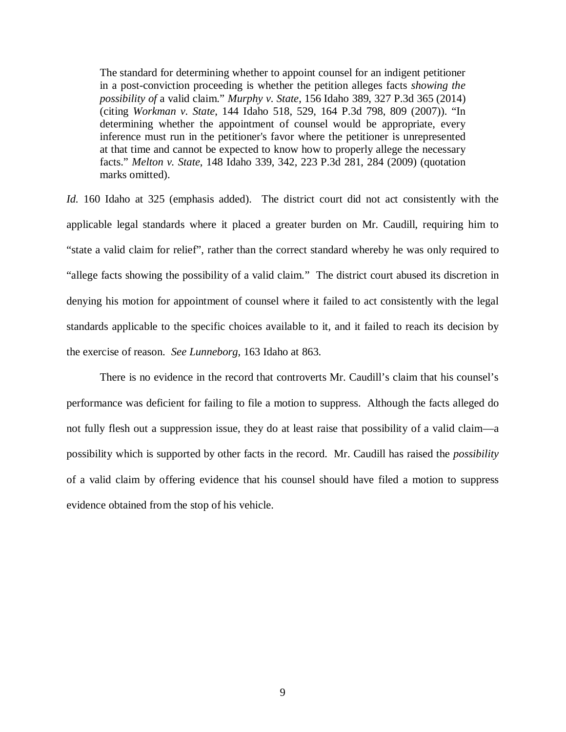The standard for determining whether to appoint counsel for an indigent petitioner in a post-conviction proceeding is whether the petition alleges facts *showing the possibility of* a valid claim." *Murphy v. State*, 156 Idaho 389, 327 P.3d 365 (2014) (citing *Workman v. State*, 144 Idaho 518, 529, 164 P.3d 798, 809 (2007)). "In determining whether the appointment of counsel would be appropriate, every inference must run in the petitioner's favor where the petitioner is unrepresented at that time and cannot be expected to know how to properly allege the necessary facts." *Melton v. State*, 148 Idaho 339, 342, 223 P.3d 281, 284 (2009) (quotation marks omitted).

*Id.* 160 Idaho at 325 (emphasis added). The district court did not act consistently with the applicable legal standards where it placed a greater burden on Mr. Caudill, requiring him to "state a valid claim for relief", rather than the correct standard whereby he was only required to "allege facts showing the possibility of a valid claim." The district court abused its discretion in denying his motion for appointment of counsel where it failed to act consistently with the legal standards applicable to the specific choices available to it, and it failed to reach its decision by the exercise of reason. *See Lunneborg*, 163 Idaho at 863.

There is no evidence in the record that controverts Mr. Caudill's claim that his counsel's performance was deficient for failing to file a motion to suppress. Although the facts alleged do not fully flesh out a suppression issue, they do at least raise that possibility of a valid claim—a possibility which is supported by other facts in the record. Mr. Caudill has raised the *possibility* of a valid claim by offering evidence that his counsel should have filed a motion to suppress evidence obtained from the stop of his vehicle.